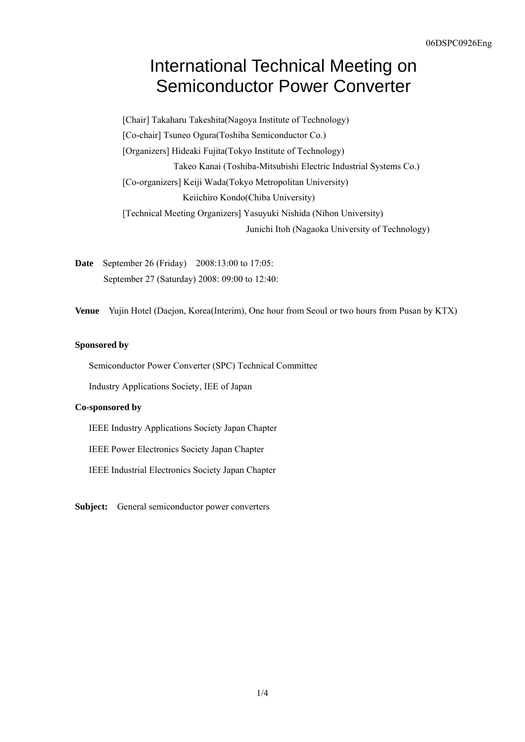## International Technical Meeting on Semiconductor Power Converter

[Chair] Takaharu Takeshita(Nagoya Institute of Technology) [Co-chair] Tsuneo Ogura(Toshiba Semiconductor Co.) [Organizers] Hideaki Fujita(Tokyo Institute of Technology) Takeo Kanai (Toshiba-Mitsubishi Electric Industrial Systems Co.) [Co-organizers] Keiji Wada(Tokyo Metropolitan University) Keiichiro Kondo(Chiba University) [Technical Meeting Organizers] Yasuyuki Nishida (Nihon University) Junichi Itoh (Nagaoka University of Technology)

**Date** September 26 (Friday) 2008:13:00 to 17:05: September 27 (Saturday) 2008: 09:00 to 12:40:

**Venue** Yujin Hotel (Daejon, Korea(Interim), One hour from Seoul or two hours from Pusan by KTX)

## **Sponsored by**

Semiconductor Power Converter (SPC) Technical Committee

Industry Applications Society, IEE of Japan

## **Co-sponsored by**

IEEE Industry Applications Society Japan Chapter

IEEE Power Electronics Society Japan Chapter

IEEE Industrial Electronics Society Japan Chapter

**Subject:** General semiconductor power converters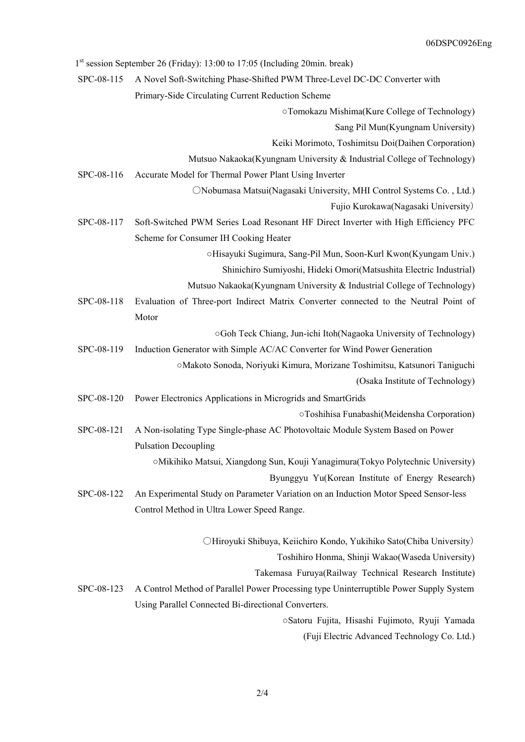|            | $1st$ session September 26 (Friday): 13:00 to 17:05 (Including 20min. break)           |
|------------|----------------------------------------------------------------------------------------|
| SPC-08-115 | A Novel Soft-Switching Phase-Shifted PWM Three-Level DC-DC Converter with              |
|            | Primary-Side Circulating Current Reduction Scheme                                      |
|            | ○Tomokazu Mishima(Kure College of Technology)                                          |
|            | Sang Pil Mun(Kyungnam University)                                                      |
|            | Keiki Morimoto, Toshimitsu Doi(Daihen Corporation)                                     |
|            | Mutsuo Nakaoka(Kyungnam University & Industrial College of Technology)                 |
| SPC-08-116 | Accurate Model for Thermal Power Plant Using Inverter                                  |
|            | ONobumasa Matsui(Nagasaki University, MHI Control Systems Co., Ltd.)                   |
|            | Fujio Kurokawa(Nagasaki University)                                                    |
| SPC-08-117 | Soft-Switched PWM Series Load Resonant HF Direct Inverter with High Efficiency PFC     |
|            | Scheme for Consumer IH Cooking Heater                                                  |
|            | ○Hisayuki Sugimura, Sang-Pil Mun, Soon-Kurl Kwon(Kyungam Univ.)                        |
|            | Shinichiro Sumiyoshi, Hideki Omori(Matsushita Electric Industrial)                     |
|            | Mutsuo Nakaoka(Kyungnam University & Industrial College of Technology)                 |
| SPC-08-118 | Evaluation of Three-port Indirect Matrix Converter connected to the Neutral Point of   |
|            | Motor                                                                                  |
|            | ○Goh Teck Chiang, Jun-ichi Itoh(Nagaoka University of Technology)                      |
| SPC-08-119 | Induction Generator with Simple AC/AC Converter for Wind Power Generation              |
|            | ○Makoto Sonoda, Noriyuki Kimura, Morizane Toshimitsu, Katsunori Taniguchi              |
|            | (Osaka Institute of Technology)                                                        |
| SPC-08-120 | Power Electronics Applications in Microgrids and SmartGrids                            |
|            | OToshihisa Funabashi(Meidensha Corporation)                                            |
| SPC-08-121 | A Non-isolating Type Single-phase AC Photovoltaic Module System Based on Power         |
|            | <b>Pulsation Decoupling</b>                                                            |
|            | OMikihiko Matsui, Xiangdong Sun, Kouji Yanagimura(Tokyo Polytechnic University)        |
|            | Byunggyu Yu(Korean Institute of Energy Research)                                       |
| SPC-08-122 | An Experimental Study on Parameter Variation on an Induction Motor Speed Sensor-less   |
|            | Control Method in Ultra Lower Speed Range.                                             |
|            | OHiroyuki Shibuya, Keiichiro Kondo, Yukihiko Sato(Chiba University)                    |
|            | Toshihiro Honma, Shinji Wakao(Waseda University)                                       |
|            | Takemasa Furuya(Railway Technical Research Institute)                                  |
| SPC-08-123 | A Control Method of Parallel Power Processing type Uninterruptible Power Supply System |
|            | Using Parallel Connected Bi-directional Converters.                                    |
|            | Satoru Fujita, Hisashi Fujimoto, Ryuji Yamada                                          |
|            | (Fuji Electric Advanced Technology Co. Ltd.)                                           |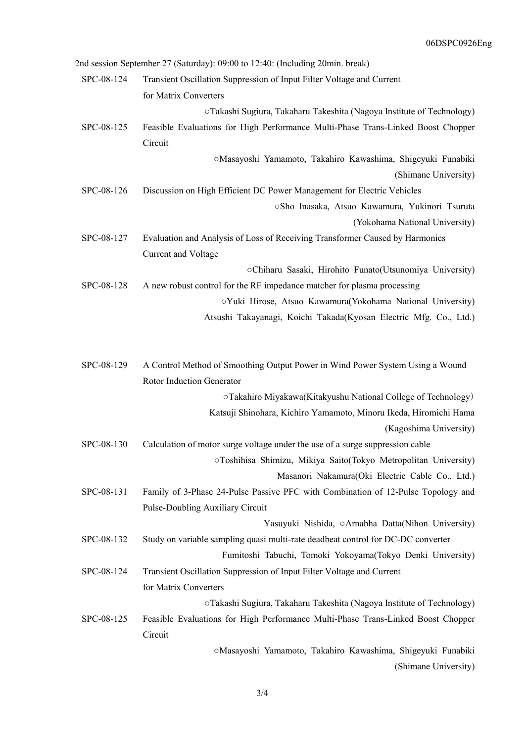|            | 2nd session September 27 (Saturday): 09:00 to 12:40: (Including 20min. break)    |
|------------|----------------------------------------------------------------------------------|
| SPC-08-124 | Transient Oscillation Suppression of Input Filter Voltage and Current            |
|            | for Matrix Converters                                                            |
|            | oTakashi Sugiura, Takaharu Takeshita (Nagoya Institute of Technology)            |
| SPC-08-125 | Feasible Evaluations for High Performance Multi-Phase Trans-Linked Boost Chopper |
|            | Circuit                                                                          |
|            | OMasayoshi Yamamoto, Takahiro Kawashima, Shigeyuki Funabiki                      |
|            | (Shimane University)                                                             |
| SPC-08-126 | Discussion on High Efficient DC Power Management for Electric Vehicles           |
|            | ○Sho Inasaka, Atsuo Kawamura, Yukinori Tsuruta                                   |
|            | (Yokohama National University)                                                   |
| SPC-08-127 | Evaluation and Analysis of Loss of Receiving Transformer Caused by Harmonics     |
|            | Current and Voltage                                                              |
|            | oChiharu Sasaki, Hirohito Funato(Utsunomiya University)                          |
| SPC-08-128 | A new robust control for the RF impedance matcher for plasma processing          |
|            | oYuki Hirose, Atsuo Kawamura(Yokohama National University)                       |
|            | Atsushi Takayanagi, Koichi Takada(Kyosan Electric Mfg. Co., Ltd.)                |
|            |                                                                                  |
| SPC-08-129 | A Control Method of Smoothing Output Power in Wind Power System Using a Wound    |
|            | Rotor Induction Generator                                                        |
|            | oTakahiro Miyakawa(Kitakyushu National College of Technology)                    |
|            | Katsuji Shinohara, Kichiro Yamamoto, Minoru Ikeda, Hiromichi Hama                |
|            | (Kagoshima University)                                                           |
| SPC-08-130 | Calculation of motor surge voltage under the use of a surge suppression cable    |
|            | OToshihisa Shimizu, Mikiya Saito(Tokyo Metropolitan University)                  |
|            | Masanori Nakamura(Oki Electric Cable Co., Ltd.)                                  |
| SPC-08-131 | Family of 3-Phase 24-Pulse Passive PFC with Combination of 12-Pulse Topology and |
|            | Pulse-Doubling Auxiliary Circuit                                                 |
|            | Yasuyuki Nishida, oArnabha Datta(Nihon University)                               |
| SPC-08-132 | Study on variable sampling quasi multi-rate deadbeat control for DC-DC converter |
|            | Fumitoshi Tabuchi, Tomoki Yokoyama(Tokyo Denki University)                       |
| SPC-08-124 | Transient Oscillation Suppression of Input Filter Voltage and Current            |
|            | for Matrix Converters                                                            |
|            | oTakashi Sugiura, Takaharu Takeshita (Nagoya Institute of Technology)            |
| SPC-08-125 | Feasible Evaluations for High Performance Multi-Phase Trans-Linked Boost Chopper |
|            | Circuit                                                                          |
|            | oMasayoshi Yamamoto, Takahiro Kawashima, Shigeyuki Funabiki                      |
|            |                                                                                  |

(Shimane University)